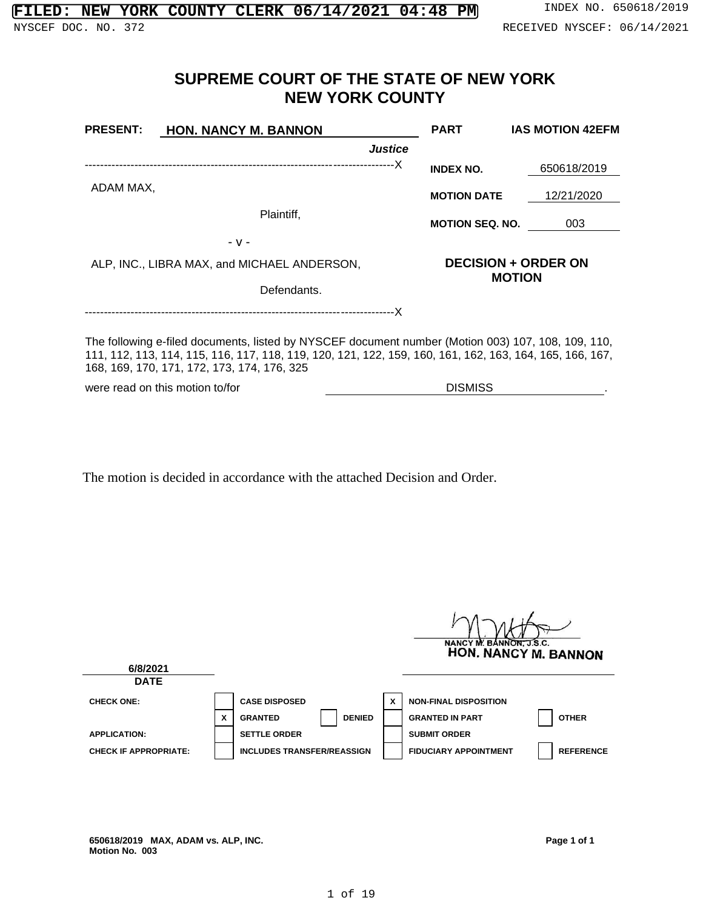# **SUPREME COURT OF THE STATE OF NEW YORK NEW YORK COUNTY**

| <b>PRESENT:</b>                                                                                                                                                                                                                                               | HON. NANCY M. BANNON                        | <b>PART</b>                | <b>IAS MOTION 42EFM</b> |  |  |
|---------------------------------------------------------------------------------------------------------------------------------------------------------------------------------------------------------------------------------------------------------------|---------------------------------------------|----------------------------|-------------------------|--|--|
|                                                                                                                                                                                                                                                               | <b>Justice</b>                              |                            |                         |  |  |
|                                                                                                                                                                                                                                                               |                                             | <b>INDEX NO.</b>           | 650618/2019             |  |  |
| ADAM MAX,                                                                                                                                                                                                                                                     |                                             | <b>MOTION DATE</b>         | 12/21/2020              |  |  |
|                                                                                                                                                                                                                                                               | Plaintiff,                                  | <b>MOTION SEQ. NO.</b>     | 003                     |  |  |
|                                                                                                                                                                                                                                                               | $-V -$                                      |                            |                         |  |  |
|                                                                                                                                                                                                                                                               | ALP, INC., LIBRA MAX, and MICHAEL ANDERSON, | <b>DECISION + ORDER ON</b> |                         |  |  |
| <b>MOTION</b><br>Defendants.                                                                                                                                                                                                                                  |                                             |                            |                         |  |  |
|                                                                                                                                                                                                                                                               |                                             |                            |                         |  |  |
| The following e-filed documents, listed by NYSCEF document number (Motion 003) 107, 108, 109, 110,<br>111, 112, 113, 114, 115, 116, 117, 118, 119, 120, 121, 122, 159, 160, 161, 162, 163, 164, 165, 166, 167,<br>168, 169, 170, 171, 172, 173, 174, 176, 325 |                                             |                            |                         |  |  |

were read on this motion to/for DISMISS

The motion is decided in accordance with the attached Decision and Order.

|                              |   |                                   |   | NANCY M. BANNON, J.S.C.<br>HON. NANCY M. BANNON  |
|------------------------------|---|-----------------------------------|---|--------------------------------------------------|
| 6/8/2021                     |   |                                   |   |                                                  |
| <b>DATE</b>                  |   |                                   |   |                                                  |
| <b>CHECK ONE:</b>            |   | <b>CASE DISPOSED</b>              | X | <b>NON-FINAL DISPOSITION</b>                     |
|                              | X | <b>DENIED</b><br><b>GRANTED</b>   |   | <b>OTHER</b><br><b>GRANTED IN PART</b>           |
| <b>APPLICATION:</b>          |   | <b>SETTLE ORDER</b>               |   | <b>SUBMIT ORDER</b>                              |
| <b>CHECK IF APPROPRIATE:</b> |   | <b>INCLUDES TRANSFER/REASSIGN</b> |   | <b>FIDUCIARY APPOINTMENT</b><br><b>REFERENCE</b> |

**650618/2019 MAX, ADAM vs. ALP, INC. Motion No. 003**

**Page 1 of 1**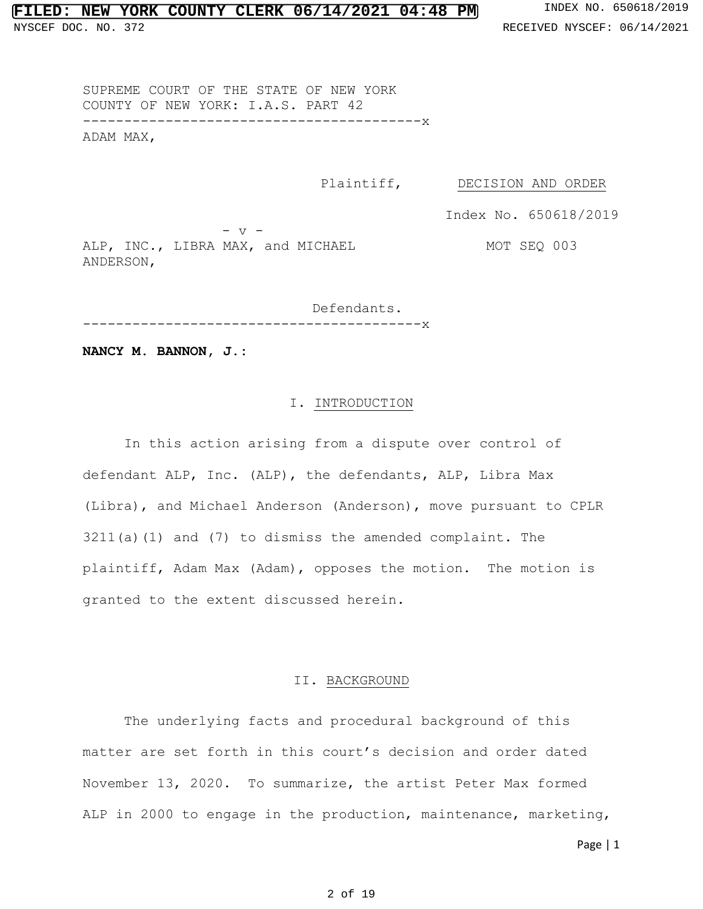### **FILED: NEW YORK COUNTY CLERK 06/14/2021 04:48 PM** INDEX NO. 650618/2019

SUPREME COURT OF THE STATE OF NEW YORK COUNTY OF NEW YORK: I.A.S. PART 42 -----------------------------------------x ADAM MAX,

Plaintiff, DECISION AND ORDER

Index No. 650618/2019

MOT SEQ 003

 $-$  v  $-$ ALP, INC., LIBRA MAX, and MICHAEL ANDERSON,

Defendants. -----------------------------------------x

**NANCY M. BANNON, J.:**

### I. INTRODUCTION

In this action arising from a dispute over control of defendant ALP, Inc. (ALP), the defendants, ALP, Libra Max (Libra), and Michael Anderson (Anderson), move pursuant to CPLR 3211(a)(1) and (7) to dismiss the amended complaint. The plaintiff, Adam Max (Adam), opposes the motion. The motion is granted to the extent discussed herein.

### II. BACKGROUND

The underlying facts and procedural background of this matter are set forth in this court's decision and order dated November 13, 2020. To summarize, the artist Peter Max formed ALP in 2000 to engage in the production, maintenance, marketing,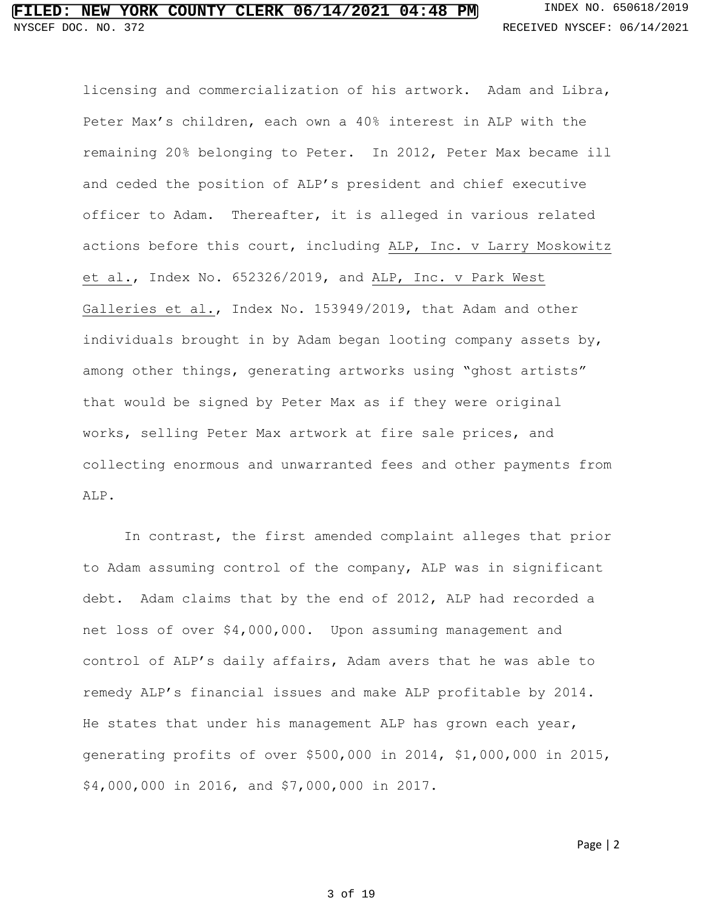licensing and commercialization of his artwork. Adam and Libra, Peter Max's children, each own a 40% interest in ALP with the remaining 20% belonging to Peter. In 2012, Peter Max became ill and ceded the position of ALP's president and chief executive officer to Adam. Thereafter, it is alleged in various related actions before this court, including ALP, Inc. v Larry Moskowitz et al., Index No. 652326/2019, and ALP, Inc. v Park West Galleries et al., Index No. 153949/2019, that Adam and other individuals brought in by Adam began looting company assets by, among other things, generating artworks using "ghost artists" that would be signed by Peter Max as if they were original works, selling Peter Max artwork at fire sale prices, and collecting enormous and unwarranted fees and other payments from ALP.

In contrast, the first amended complaint alleges that prior to Adam assuming control of the company, ALP was in significant debt. Adam claims that by the end of 2012, ALP had recorded a net loss of over \$4,000,000. Upon assuming management and control of ALP's daily affairs, Adam avers that he was able to remedy ALP's financial issues and make ALP profitable by 2014. He states that under his management ALP has grown each year, generating profits of over \$500,000 in 2014, \$1,000,000 in 2015, \$4,000,000 in 2016, and \$7,000,000 in 2017.

#### 3 of 19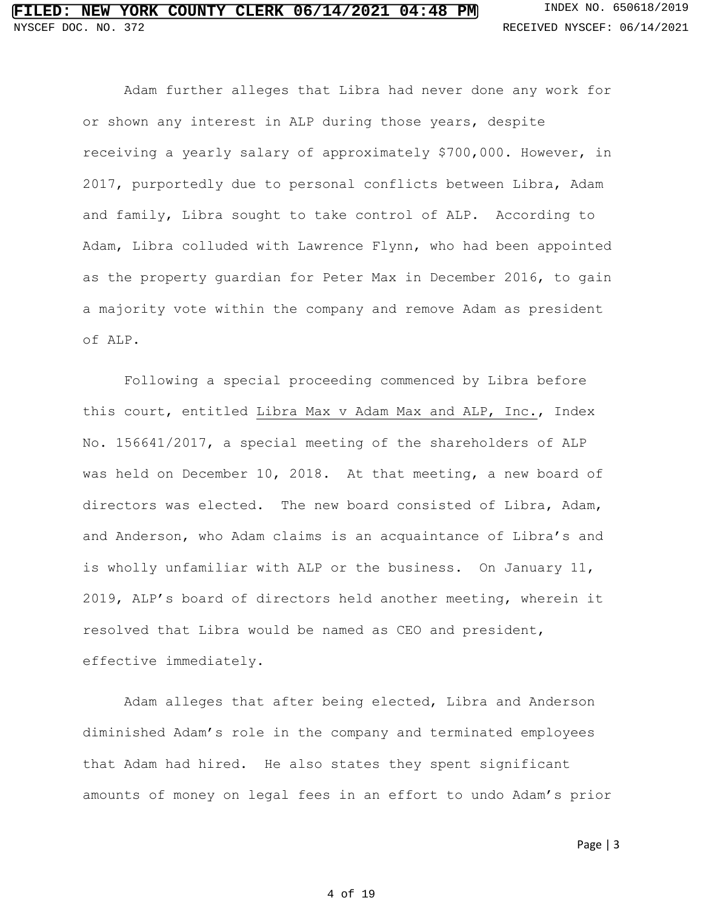Adam further alleges that Libra had never done any work for or shown any interest in ALP during those years, despite receiving a yearly salary of approximately \$700,000. However, in 2017, purportedly due to personal conflicts between Libra, Adam and family, Libra sought to take control of ALP. According to Adam, Libra colluded with Lawrence Flynn, who had been appointed as the property guardian for Peter Max in December 2016, to gain a majority vote within the company and remove Adam as president of ALP.

Following a special proceeding commenced by Libra before this court, entitled Libra Max v Adam Max and ALP, Inc., Index No. 156641/2017, a special meeting of the shareholders of ALP was held on December 10, 2018. At that meeting, a new board of directors was elected. The new board consisted of Libra, Adam, and Anderson, who Adam claims is an acquaintance of Libra's and is wholly unfamiliar with ALP or the business. On January 11, 2019, ALP's board of directors held another meeting, wherein it resolved that Libra would be named as CEO and president, effective immediately.

Adam alleges that after being elected, Libra and Anderson diminished Adam's role in the company and terminated employees that Adam had hired. He also states they spent significant amounts of money on legal fees in an effort to undo Adam's prior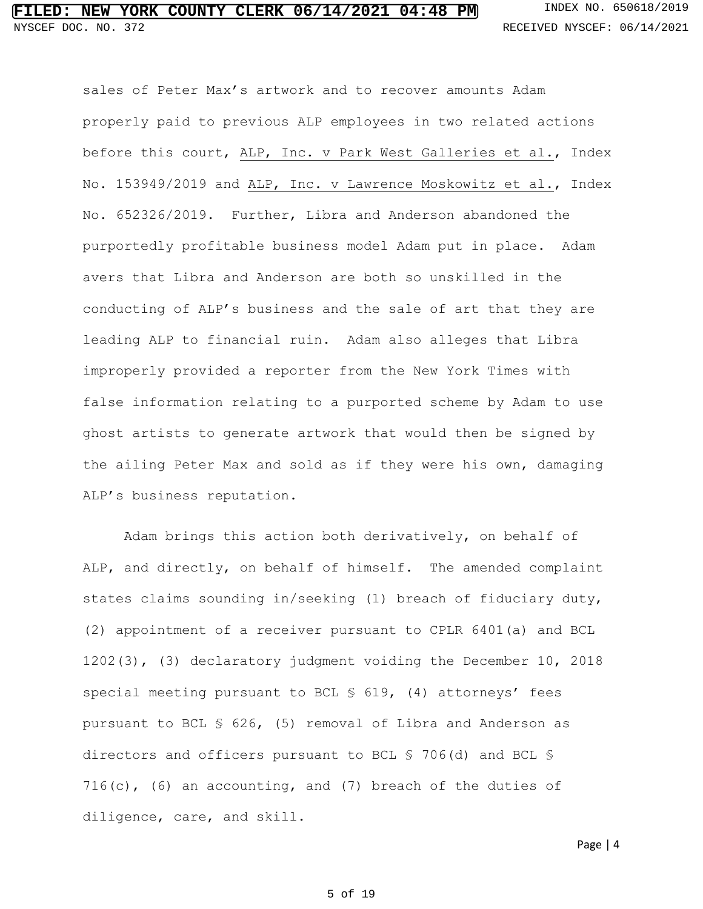sales of Peter Max's artwork and to recover amounts Adam properly paid to previous ALP employees in two related actions before this court, ALP, Inc. v Park West Galleries et al., Index No. 153949/2019 and ALP, Inc. v Lawrence Moskowitz et al., Index No. 652326/2019. Further, Libra and Anderson abandoned the purportedly profitable business model Adam put in place. Adam avers that Libra and Anderson are both so unskilled in the conducting of ALP's business and the sale of art that they are leading ALP to financial ruin. Adam also alleges that Libra improperly provided a reporter from the New York Times with false information relating to a purported scheme by Adam to use ghost artists to generate artwork that would then be signed by the ailing Peter Max and sold as if they were his own, damaging ALP's business reputation.

Adam brings this action both derivatively, on behalf of ALP, and directly, on behalf of himself. The amended complaint states claims sounding in/seeking (1) breach of fiduciary duty, (2) appointment of a receiver pursuant to CPLR 6401(a) and BCL 1202(3), (3) declaratory judgment voiding the December 10, 2018 special meeting pursuant to BCL § 619, (4) attorneys' fees pursuant to BCL § 626, (5) removal of Libra and Anderson as directors and officers pursuant to BCL § 706(d) and BCL §  $716(c)$ , (6) an accounting, and (7) breach of the duties of diligence, care, and skill.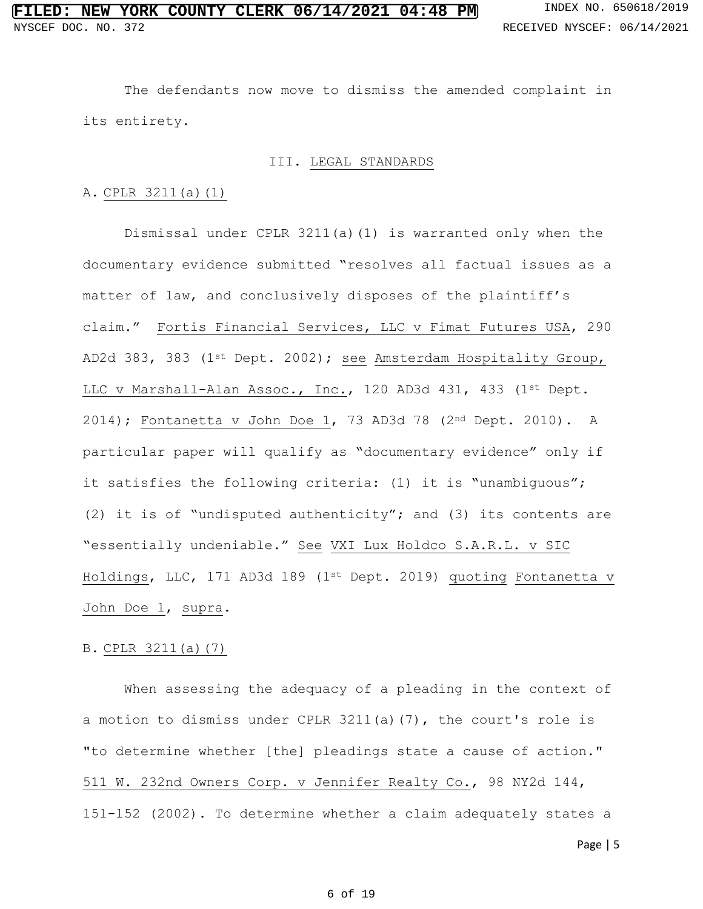The defendants now move to dismiss the amended complaint in its entirety.

#### III. LEGAL STANDARDS

#### A. CPLR 3211(a)(1)

Dismissal under CPLR 3211(a)(1) is warranted only when the documentary evidence submitted "resolves all factual issues as a matter of law, and conclusively disposes of the plaintiff's claim." Fortis Financial Services, LLC v Fimat Futures USA, 290 AD2d 383, 383 (1st Dept. 2002); see Amsterdam Hospitality Group, LLC v Marshall-Alan Assoc., Inc., 120 AD3d 431, 433 (1st Dept. 2014); Fontanetta v John Doe 1, 73 AD3d 78 (2nd Dept. 2010). A particular paper will qualify as "documentary evidence" only if it satisfies the following criteria: (1) it is "unambiguous"; (2) it is of "undisputed authenticity"; and (3) its contents are "essentially undeniable." See VXI Lux Holdco S.A.R.L. v SIC Holdings, LLC, 171 AD3d 189 (1st Dept. 2019) quoting Fontanetta v John Doe 1, supra.

#### B. CPLR 3211(a)(7)

When assessing the adequacy of a pleading in the context of a motion to dismiss under CPLR 3211(a)(7), the court's role is "to determine whether [the] pleadings state a cause of action." 511 W. 232nd Owners Corp. v Jennifer Realty Co., 98 NY2d 144, 151-152 (2002). To determine whether a claim adequately states a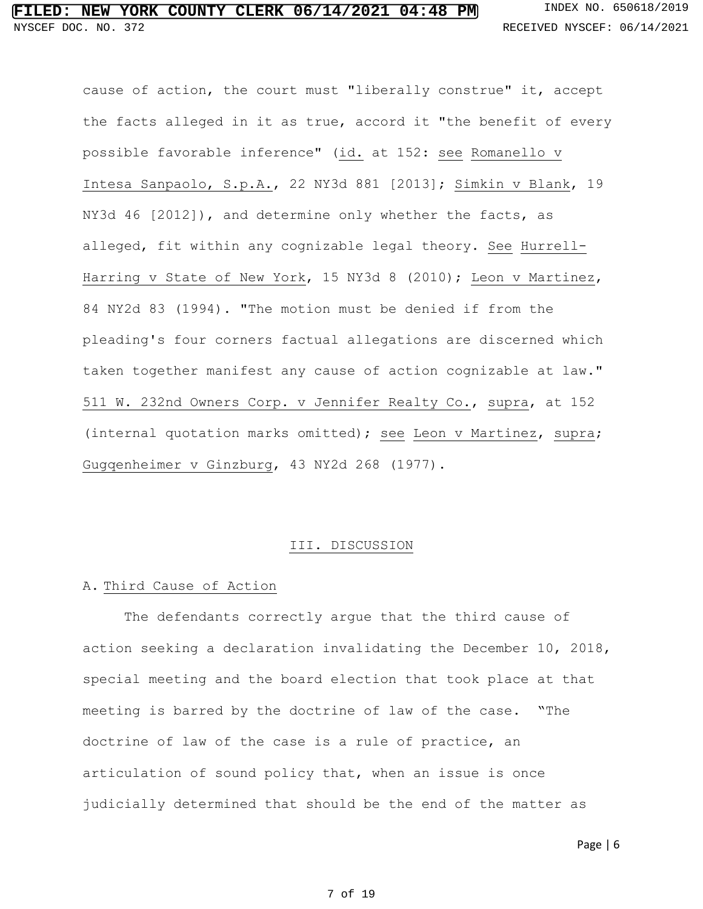cause of action, the court must "liberally construe" it, accept the facts alleged in it as true, accord it "the benefit of every possible favorable inference" (id. at 152: see Romanello v Intesa Sanpaolo, S.p.A., 22 NY3d 881 [2013]; Simkin v Blank, 19 NY3d 46 [2012]), and determine only whether the facts, as alleged, fit within any cognizable legal theory. See Hurrell-Harring v State of New York, 15 NY3d 8 (2010); Leon v Martinez, 84 NY2d 83 (1994). "The motion must be denied if from the pleading's four corners factual allegations are discerned which taken together manifest any cause of action cognizable at law." 511 W. 232nd Owners Corp. v Jennifer Realty Co., supra, at 152 (internal quotation marks omitted); see Leon v Martinez, supra; Gugqenheimer v Ginzburg, 43 NY2d 268 (1977).

#### III. DISCUSSION

#### A. Third Cause of Action

The defendants correctly argue that the third cause of action seeking a declaration invalidating the December 10, 2018, special meeting and the board election that took place at that meeting is barred by the doctrine of law of the case. "The doctrine of law of the case is a rule of practice, an articulation of sound policy that, when an issue is once judicially determined that should be the end of the matter as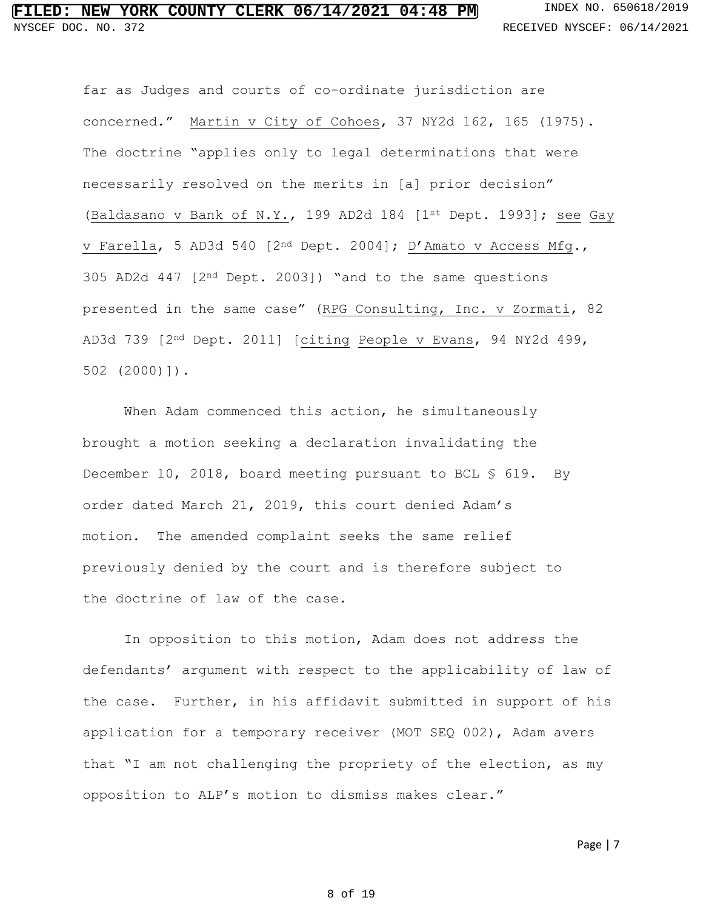far as Judges and courts of co-ordinate jurisdiction are concerned." Martin v City of Cohoes, 37 NY2d 162, 165 (1975). The doctrine "applies only to legal determinations that were necessarily resolved on the merits in [a] prior decision" (Baldasano v Bank of N.Y., 199 AD2d 184 [1st Dept. 1993]; see Gay v Farella, 5 AD3d 540 [2nd Dept. 2004]; D'Amato v Access Mfg., 305 AD2d 447 [2nd Dept. 2003]) "and to the same questions presented in the same case" (RPG Consulting, Inc. v Zormati, 82 AD3d 739 [2nd Dept. 2011] [citing People v Evans, 94 NY2d 499, 502 (2000)]).

When Adam commenced this action, he simultaneously brought a motion seeking a declaration invalidating the December 10, 2018, board meeting pursuant to BCL § 619. By order dated March 21, 2019, this court denied Adam's motion. The amended complaint seeks the same relief previously denied by the court and is therefore subject to the doctrine of law of the case.

In opposition to this motion, Adam does not address the defendants' argument with respect to the applicability of law of the case. Further, in his affidavit submitted in support of his application for a temporary receiver (MOT SEQ 002), Adam avers that "I am not challenging the propriety of the election, as my opposition to ALP's motion to dismiss makes clear."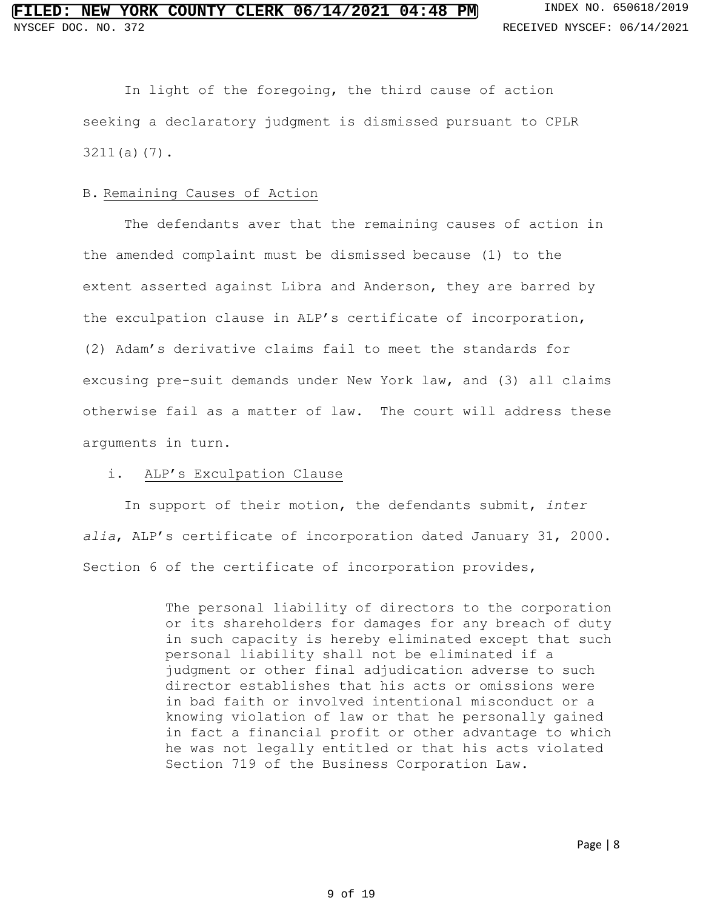In light of the foregoing, the third cause of action seeking a declaratory judgment is dismissed pursuant to CPLR 3211(a)(7).

#### B. Remaining Causes of Action

The defendants aver that the remaining causes of action in the amended complaint must be dismissed because (1) to the extent asserted against Libra and Anderson, they are barred by the exculpation clause in ALP's certificate of incorporation, (2) Adam's derivative claims fail to meet the standards for excusing pre-suit demands under New York law, and (3) all claims otherwise fail as a matter of law. The court will address these arguments in turn.

#### i. ALP's Exculpation Clause

In support of their motion, the defendants submit, *inter alia*, ALP's certificate of incorporation dated January 31, 2000. Section 6 of the certificate of incorporation provides,

> The personal liability of directors to the corporation or its shareholders for damages for any breach of duty in such capacity is hereby eliminated except that such personal liability shall not be eliminated if a judgment or other final adjudication adverse to such director establishes that his acts or omissions were in bad faith or involved intentional misconduct or a knowing violation of law or that he personally gained in fact a financial profit or other advantage to which he was not legally entitled or that his acts violated Section 719 of the Business Corporation Law.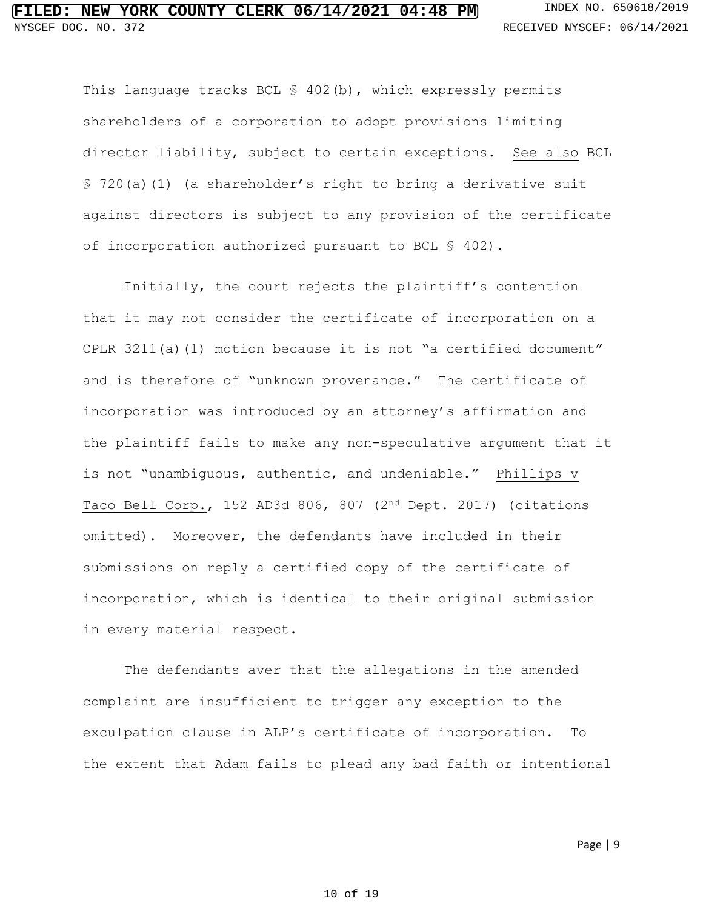This language tracks BCL § 402(b), which expressly permits shareholders of a corporation to adopt provisions limiting director liability, subject to certain exceptions. See also BCL § 720(a)(1) (a shareholder's right to bring a derivative suit against directors is subject to any provision of the certificate of incorporation authorized pursuant to BCL § 402).

Initially, the court rejects the plaintiff's contention that it may not consider the certificate of incorporation on a CPLR 3211(a)(1) motion because it is not "a certified document" and is therefore of "unknown provenance." The certificate of incorporation was introduced by an attorney's affirmation and the plaintiff fails to make any non-speculative argument that it is not "unambiguous, authentic, and undeniable." Phillips v Taco Bell Corp., 152 AD3d 806, 807 (2nd Dept. 2017) (citations omitted). Moreover, the defendants have included in their submissions on reply a certified copy of the certificate of incorporation, which is identical to their original submission in every material respect.

The defendants aver that the allegations in the amended complaint are insufficient to trigger any exception to the exculpation clause in ALP's certificate of incorporation. To the extent that Adam fails to plead any bad faith or intentional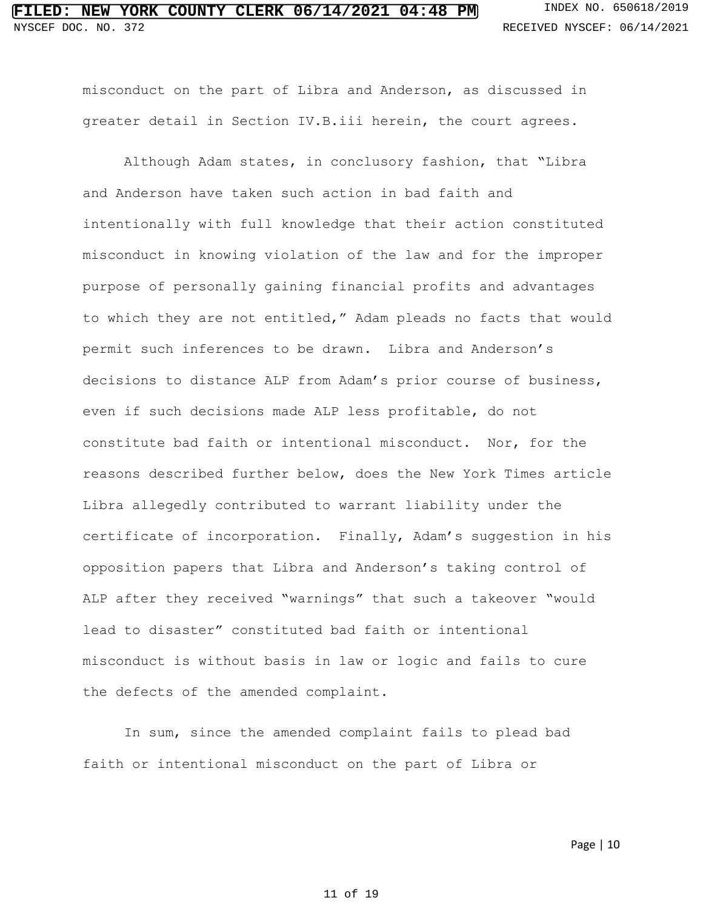misconduct on the part of Libra and Anderson, as discussed in greater detail in Section IV.B.iii herein, the court agrees.

Although Adam states, in conclusory fashion, that "Libra and Anderson have taken such action in bad faith and intentionally with full knowledge that their action constituted misconduct in knowing violation of the law and for the improper purpose of personally gaining financial profits and advantages to which they are not entitled," Adam pleads no facts that would permit such inferences to be drawn. Libra and Anderson's decisions to distance ALP from Adam's prior course of business, even if such decisions made ALP less profitable, do not constitute bad faith or intentional misconduct. Nor, for the reasons described further below, does the New York Times article Libra allegedly contributed to warrant liability under the certificate of incorporation. Finally, Adam's suggestion in his opposition papers that Libra and Anderson's taking control of ALP after they received "warnings" that such a takeover "would lead to disaster" constituted bad faith or intentional misconduct is without basis in law or logic and fails to cure the defects of the amended complaint.

In sum, since the amended complaint fails to plead bad faith or intentional misconduct on the part of Libra or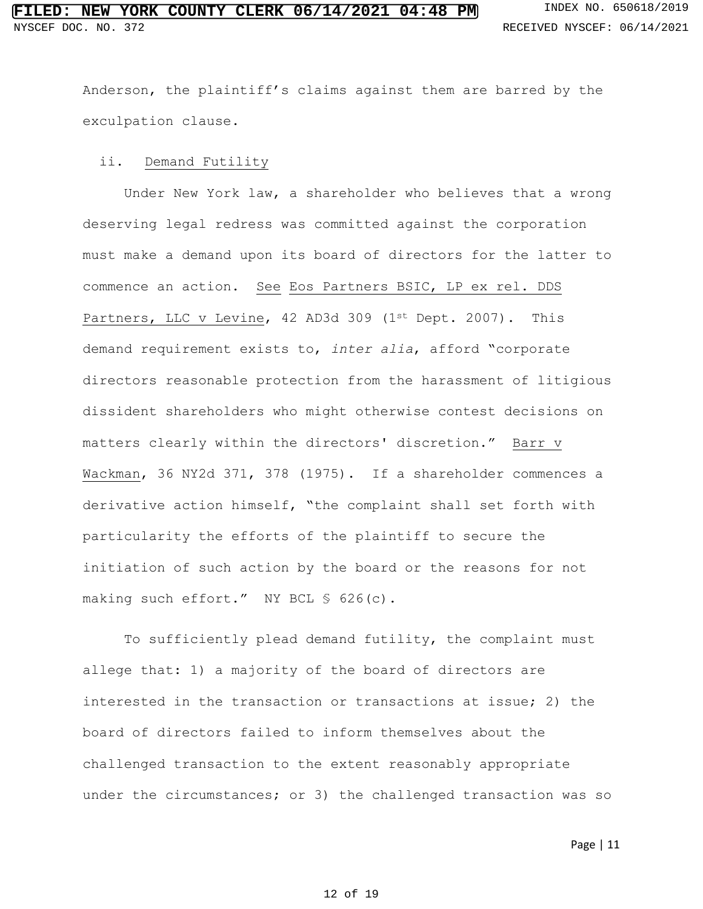Anderson, the plaintiff's claims against them are barred by the exculpation clause.

#### ii. Demand Futility

Under New York law, a shareholder who believes that a wrong deserving legal redress was committed against the corporation must make a demand upon its board of directors for the latter to commence an action. See Eos Partners BSIC, LP ex rel. DDS Partners, LLC v Levine, 42 AD3d 309 (1st Dept. 2007). This demand requirement exists to, *inter alia*, afford "corporate directors reasonable protection from the harassment of litigious dissident shareholders who might otherwise contest decisions on matters clearly within the directors' discretion." Barr v Wackman, 36 NY2d 371, 378 (1975). If a shareholder commences a derivative action himself, "the complaint shall set forth with particularity the efforts of the plaintiff to secure the initiation of such action by the board or the reasons for not making such effort." NY BCL § 626(c).

To sufficiently plead demand futility, the complaint must allege that: 1) a majority of the board of directors are interested in the transaction or transactions at issue; 2) the board of directors failed to inform themselves about the challenged transaction to the extent reasonably appropriate under the circumstances; or 3) the challenged transaction was so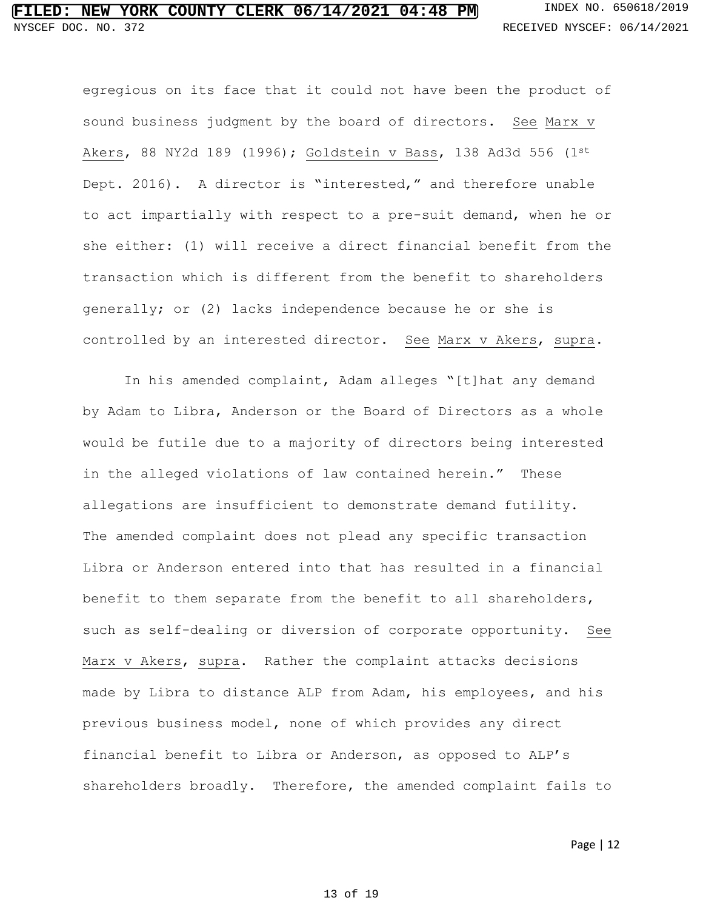egregious on its face that it could not have been the product of sound business judgment by the board of directors. See Marx v Akers, 88 NY2d 189 (1996); Goldstein v Bass, 138 Ad3d 556 (1st Dept. 2016). A director is "interested," and therefore unable to act impartially with respect to a pre-suit demand, when he or she either: (1) will receive a direct financial benefit from the transaction which is different from the benefit to shareholders generally; or (2) lacks independence because he or she is controlled by an interested director. See Marx v Akers, supra.

In his amended complaint, Adam alleges "[t]hat any demand by Adam to Libra, Anderson or the Board of Directors as a whole would be futile due to a majority of directors being interested in the alleged violations of law contained herein." These allegations are insufficient to demonstrate demand futility. The amended complaint does not plead any specific transaction Libra or Anderson entered into that has resulted in a financial benefit to them separate from the benefit to all shareholders, such as self-dealing or diversion of corporate opportunity. See Marx v Akers, supra. Rather the complaint attacks decisions made by Libra to distance ALP from Adam, his employees, and his previous business model, none of which provides any direct financial benefit to Libra or Anderson, as opposed to ALP's shareholders broadly. Therefore, the amended complaint fails to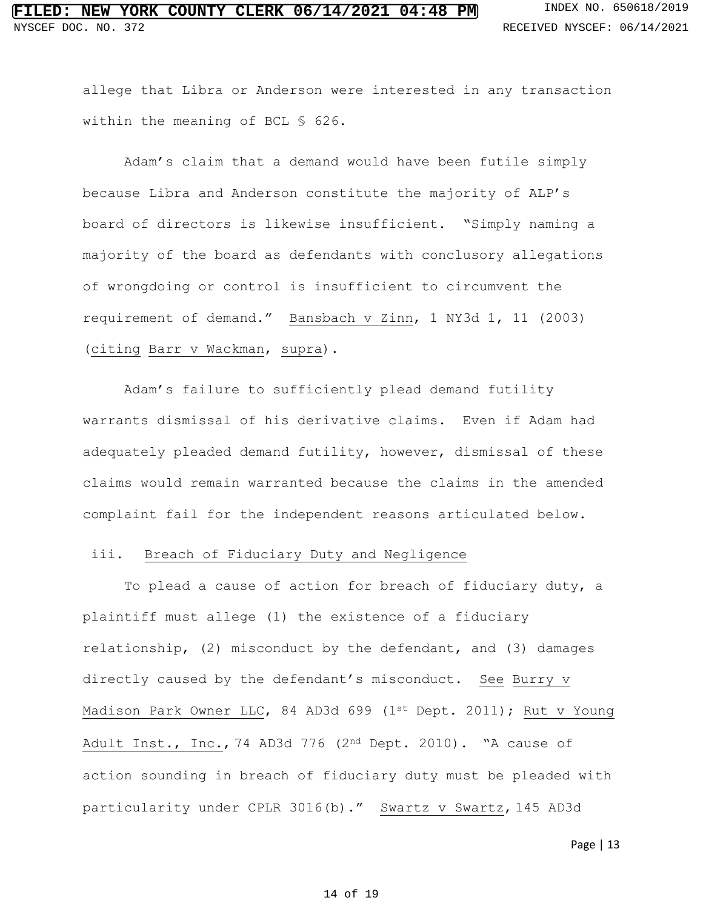allege that Libra or Anderson were interested in any transaction within the meaning of BCL § 626.

Adam's claim that a demand would have been futile simply because Libra and Anderson constitute the majority of ALP's board of directors is likewise insufficient. "Simply naming a majority of the board as defendants with conclusory allegations of wrongdoing or control is insufficient to circumvent the requirement of demand." Bansbach v Zinn, 1 NY3d 1, 11 (2003) (citing Barr v Wackman, supra).

Adam's failure to sufficiently plead demand futility warrants dismissal of his derivative claims. Even if Adam had adequately pleaded demand futility, however, dismissal of these claims would remain warranted because the claims in the amended complaint fail for the independent reasons articulated below.

#### iii. Breach of Fiduciary Duty and Negligence

To plead a cause of action for breach of fiduciary duty, a plaintiff must allege (1) the existence of a fiduciary relationship, (2) misconduct by the defendant, and (3) damages directly caused by the defendant's misconduct. See Burry v Madison Park Owner LLC, 84 AD3d 699 (1st Dept. 2011); Rut v Young Adult Inst., Inc., 74 AD3d 776 (2nd Dept. 2010). "A cause of action sounding in breach of fiduciary duty must be pleaded with particularity under CPLR 3016(b)." Swartz v Swartz, 145 AD3d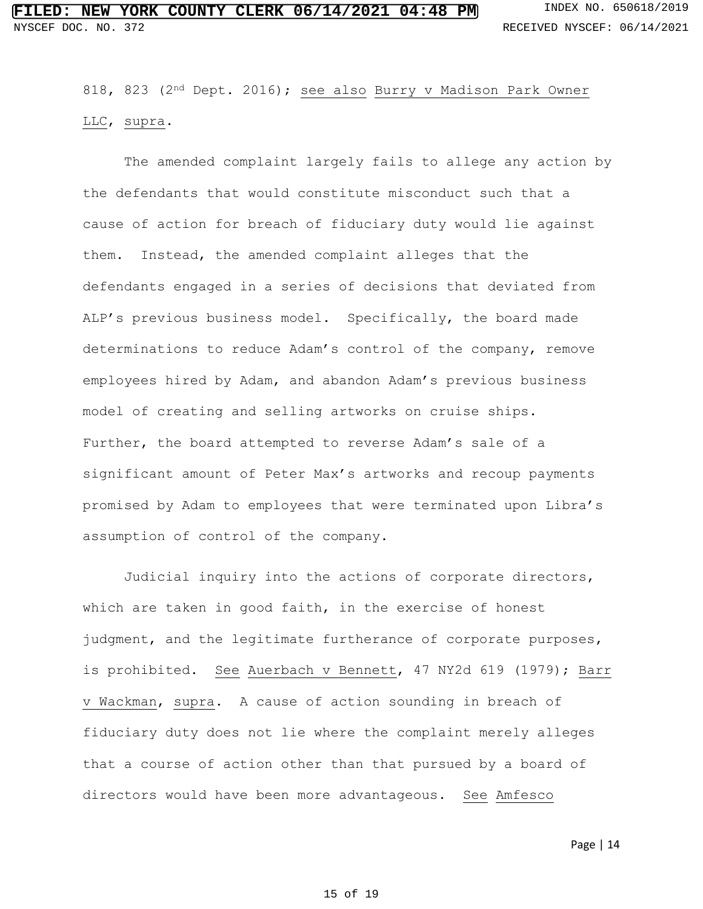818, 823 (2nd Dept. 2016); see also Burry v Madison Park Owner LLC, supra.

The amended complaint largely fails to allege any action by the defendants that would constitute misconduct such that a cause of action for breach of fiduciary duty would lie against them. Instead, the amended complaint alleges that the defendants engaged in a series of decisions that deviated from ALP's previous business model. Specifically, the board made determinations to reduce Adam's control of the company, remove employees hired by Adam, and abandon Adam's previous business model of creating and selling artworks on cruise ships. Further, the board attempted to reverse Adam's sale of a significant amount of Peter Max's artworks and recoup payments promised by Adam to employees that were terminated upon Libra's assumption of control of the company.

Judicial inquiry into the actions of corporate directors, which are taken in good faith, in the exercise of honest judgment, and the legitimate furtherance of corporate purposes, is prohibited. See Auerbach v Bennett, 47 NY2d 619 (1979); Barr v Wackman, supra. A cause of action sounding in breach of fiduciary duty does not lie where the complaint merely alleges that a course of action other than that pursued by a board of directors would have been more advantageous. See Amfesco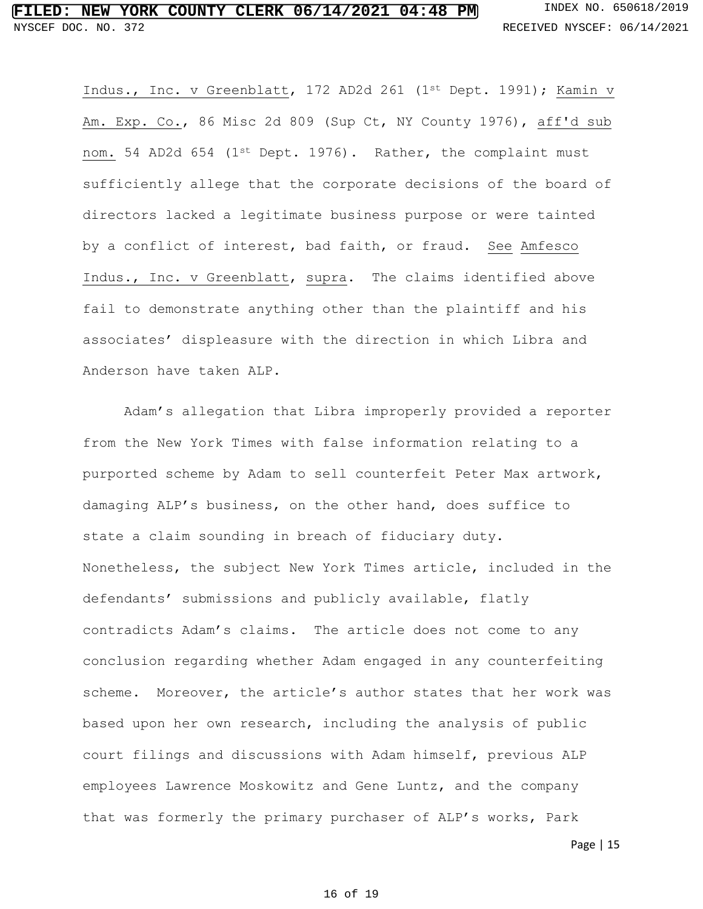Indus., Inc. v Greenblatt, 172 AD2d 261 (1st Dept. 1991); Kamin v Am. Exp. Co., 86 Misc 2d 809 (Sup Ct, NY County 1976), aff'd sub nom. 54 AD2d 654 (1st Dept. 1976). Rather, the complaint must sufficiently allege that the corporate decisions of the board of directors lacked a legitimate business purpose or were tainted by a conflict of interest, bad faith, or fraud. See Amfesco Indus., Inc. v Greenblatt, supra. The claims identified above fail to demonstrate anything other than the plaintiff and his associates' displeasure with the direction in which Libra and Anderson have taken ALP.

Adam's allegation that Libra improperly provided a reporter from the New York Times with false information relating to a purported scheme by Adam to sell counterfeit Peter Max artwork, damaging ALP's business, on the other hand, does suffice to state a claim sounding in breach of fiduciary duty. Nonetheless, the subject New York Times article, included in the defendants' submissions and publicly available, flatly contradicts Adam's claims. The article does not come to any conclusion regarding whether Adam engaged in any counterfeiting scheme. Moreover, the article's author states that her work was based upon her own research, including the analysis of public court filings and discussions with Adam himself, previous ALP employees Lawrence Moskowitz and Gene Luntz, and the company that was formerly the primary purchaser of ALP's works, Park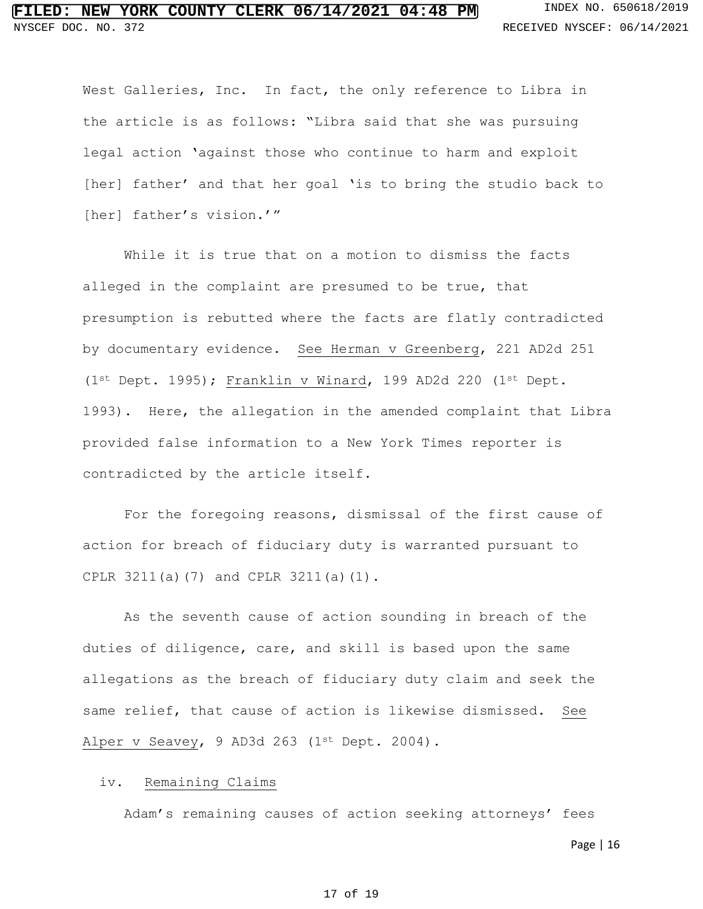West Galleries, Inc. In fact, the only reference to Libra in the article is as follows: "Libra said that she was pursuing legal action 'against those who continue to harm and exploit [her] father' and that her goal 'is to bring the studio back to [her] father's vision.'"

While it is true that on a motion to dismiss the facts alleged in the complaint are presumed to be true, that presumption is rebutted where the facts are flatly contradicted by documentary evidence. See Herman v Greenberg, 221 AD2d 251 (1st Dept. 1995); Franklin v Winard, 199 AD2d 220 (1st Dept. 1993). Here, the allegation in the amended complaint that Libra provided false information to a New York Times reporter is contradicted by the article itself.

For the foregoing reasons, dismissal of the first cause of action for breach of fiduciary duty is warranted pursuant to CPLR 3211(a)(7) and CPLR 3211(a)(1).

As the seventh cause of action sounding in breach of the duties of diligence, care, and skill is based upon the same allegations as the breach of fiduciary duty claim and seek the same relief, that cause of action is likewise dismissed. See Alper v Seavey, 9 AD3d 263 (1st Dept. 2004).

#### iv. Remaining Claims

Adam's remaining causes of action seeking attorneys' fees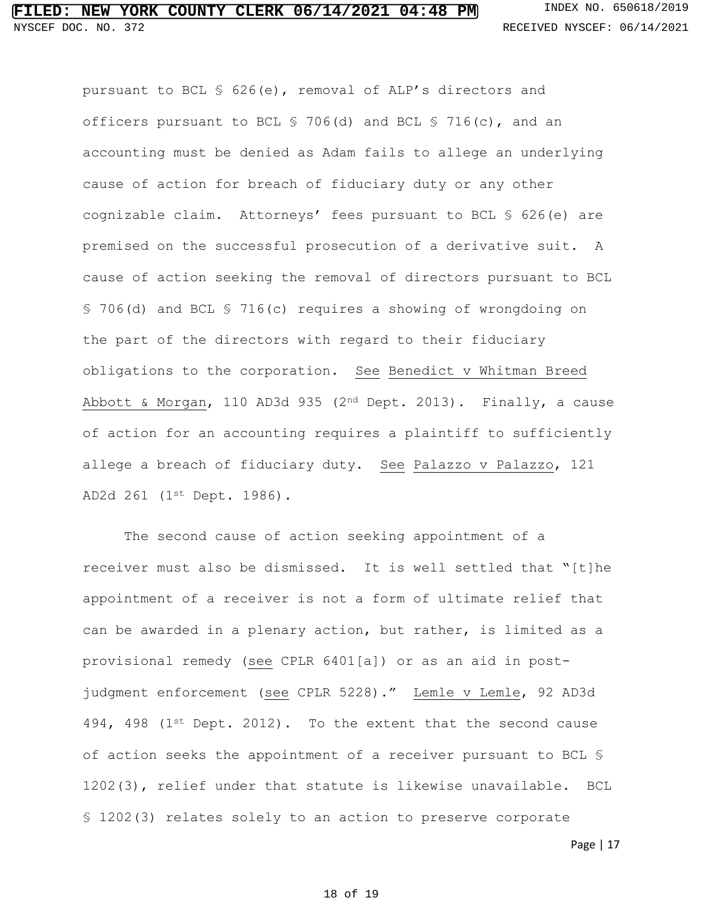officers pursuant to BCL § 706(d) and BCL § 716(c), and an accounting must be denied as Adam fails to allege an underlying cause of action for breach of fiduciary duty or any other cognizable claim. Attorneys' fees pursuant to BCL § 626(e) are premised on the successful prosecution of a derivative suit. A cause of action seeking the removal of directors pursuant to BCL § 706(d) and BCL § 716(c) requires a showing of wrongdoing on the part of the directors with regard to their fiduciary obligations to the corporation. See Benedict v Whitman Breed Abbott & Morgan, 110 AD3d 935 (2nd Dept. 2013). Finally, a cause of action for an accounting requires a plaintiff to sufficiently allege a breach of fiduciary duty. See Palazzo v Palazzo, 121 AD2d 261 (1st Dept. 1986).

pursuant to BCL § 626(e), removal of ALP's directors and

The second cause of action seeking appointment of a receiver must also be dismissed. It is well settled that "[t]he appointment of a receiver is not a form of ultimate relief that can be awarded in a plenary action, but rather, is limited as a provisional remedy (see CPLR 6401[a]) or as an aid in postjudgment enforcement (see CPLR 5228)." Lemle v Lemle, 92 AD3d 494, 498 ( $1^{st}$  Dept. 2012). To the extent that the second cause of action seeks the appointment of a receiver pursuant to BCL § 1202(3), relief under that statute is likewise unavailable. BCL § 1202(3) relates solely to an action to preserve corporate

Page | 17

#### 18 of 19